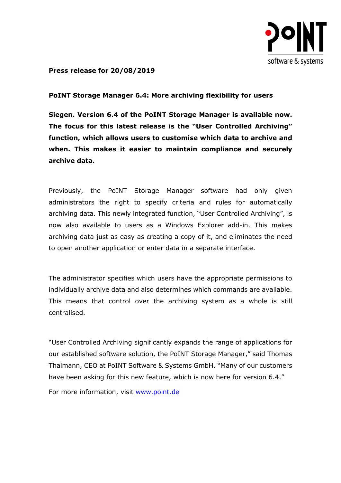

**Press release for 20/08/2019**

## **PoINT Storage Manager 6.4: More archiving flexibility for users**

**Siegen. Version 6.4 of the PoINT Storage Manager is available now. The focus for this latest release is the "User Controlled Archiving" function, which allows users to customise which data to archive and when. This makes it easier to maintain compliance and securely archive data.**

Previously, the PoINT Storage Manager software had only given administrators the right to specify criteria and rules for automatically archiving data. This newly integrated function, "User Controlled Archiving", is now also available to users as a Windows Explorer add-in. This makes archiving data just as easy as creating a copy of it, and eliminates the need to open another application or enter data in a separate interface.

The administrator specifies which users have the appropriate permissions to individually archive data and also determines which commands are available. This means that control over the archiving system as a whole is still centralised.

"User Controlled Archiving significantly expands the range of applications for our established software solution, the PoINT Storage Manager," said Thomas Thalmann, CEO at PoINT Software & Systems GmbH. "Many of our customers have been asking for this new feature, which is now here for version 6.4."

For more information, visit [www.point.de](https://www.point.de/)